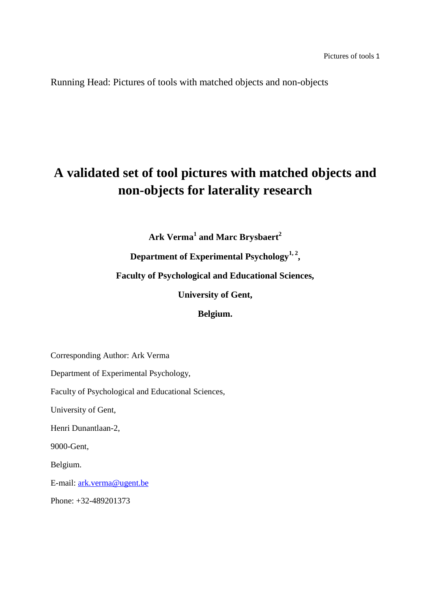Running Head: Pictures of tools with matched objects and non-objects

# **A validated set of tool pictures with matched objects and non-objects for laterality research**

**Ark Verma<sup>1</sup> and Marc Brysbaert<sup>2</sup>**

**Department of Experimental Psychology1, 2 ,** 

**Faculty of Psychological and Educational Sciences,** 

**University of Gent,** 

**Belgium.** 

Corresponding Author: Ark Verma

Department of Experimental Psychology,

Faculty of Psychological and Educational Sciences,

University of Gent,

Henri Dunantlaan-2,

9000-Gent,

Belgium.

E-mail: ark.verma@ugent.be

Phone: +32-489201373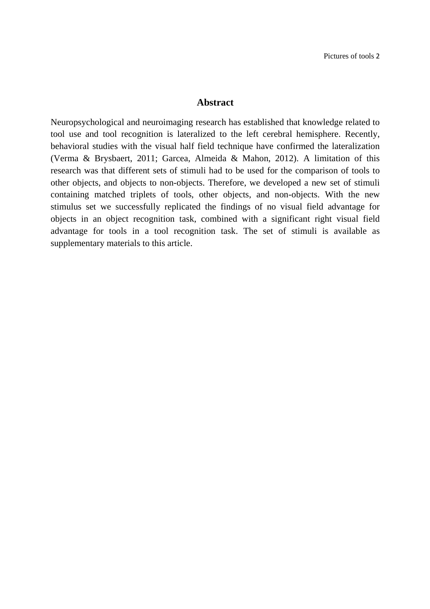#### **Abstract**

Neuropsychological and neuroimaging research has established that knowledge related to tool use and tool recognition is lateralized to the left cerebral hemisphere. Recently, behavioral studies with the visual half field technique have confirmed the lateralization (Verma & Brysbaert, 2011; Garcea, Almeida & Mahon, 2012). A limitation of this research was that different sets of stimuli had to be used for the comparison of tools to other objects, and objects to non-objects. Therefore, we developed a new set of stimuli containing matched triplets of tools, other objects, and non-objects. With the new stimulus set we successfully replicated the findings of no visual field advantage for objects in an object recognition task, combined with a significant right visual field advantage for tools in a tool recognition task. The set of stimuli is available as supplementary materials to this article.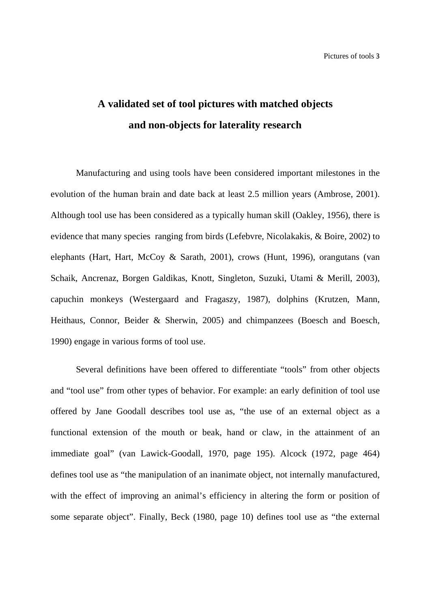# **A validated set of tool pictures with matched objects and non-objects for laterality research**

Manufacturing and using tools have been considered important milestones in the evolution of the human brain and date back at least 2.5 million years (Ambrose, 2001). Although tool use has been considered as a typically human skill (Oakley, 1956), there is evidence that many species ranging from birds (Lefebvre, Nicolakakis, & Boire, 2002) to elephants (Hart, Hart, McCoy & Sarath, 2001), crows (Hunt, 1996), orangutans (van Schaik, Ancrenaz, Borgen Galdikas, Knott, Singleton, Suzuki, Utami & Merill, 2003), capuchin monkeys (Westergaard and Fragaszy, 1987), dolphins (Krutzen, Mann, Heithaus, Connor, Beider & Sherwin, 2005) and chimpanzees (Boesch and Boesch, 1990) engage in various forms of tool use.

Several definitions have been offered to differentiate "tools" from other objects and "tool use" from other types of behavior. For example: an early definition of tool use offered by Jane Goodall describes tool use as, "the use of an external object as a functional extension of the mouth or beak, hand or claw, in the attainment of an immediate goal" (van Lawick-Goodall, 1970, page 195). Alcock (1972, page 464) defines tool use as "the manipulation of an inanimate object, not internally manufactured, with the effect of improving an animal's efficiency in altering the form or position of some separate object". Finally, Beck (1980, page 10) defines tool use as "the external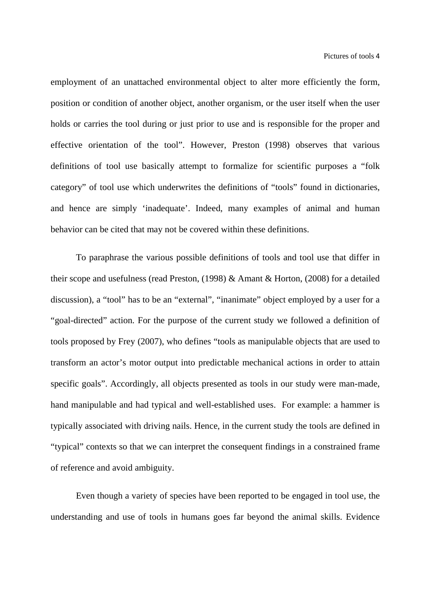employment of an unattached environmental object to alter more efficiently the form, position or condition of another object, another organism, or the user itself when the user holds or carries the tool during or just prior to use and is responsible for the proper and effective orientation of the tool". However, Preston (1998) observes that various definitions of tool use basically attempt to formalize for scientific purposes a "folk category" of tool use which underwrites the definitions of "tools" found in dictionaries, and hence are simply 'inadequate'. Indeed, many examples of animal and human behavior can be cited that may not be covered within these definitions.

To paraphrase the various possible definitions of tools and tool use that differ in their scope and usefulness (read Preston, (1998) & Amant & Horton, (2008) for a detailed discussion), a "tool" has to be an "external", "inanimate" object employed by a user for a "goal-directed" action. For the purpose of the current study we followed a definition of tools proposed by Frey (2007), who defines "tools as manipulable objects that are used to transform an actor's motor output into predictable mechanical actions in order to attain specific goals". Accordingly, all objects presented as tools in our study were man-made, hand manipulable and had typical and well-established uses. For example: a hammer is typically associated with driving nails. Hence, in the current study the tools are defined in "typical" contexts so that we can interpret the consequent findings in a constrained frame of reference and avoid ambiguity.

Even though a variety of species have been reported to be engaged in tool use, the understanding and use of tools in humans goes far beyond the animal skills. Evidence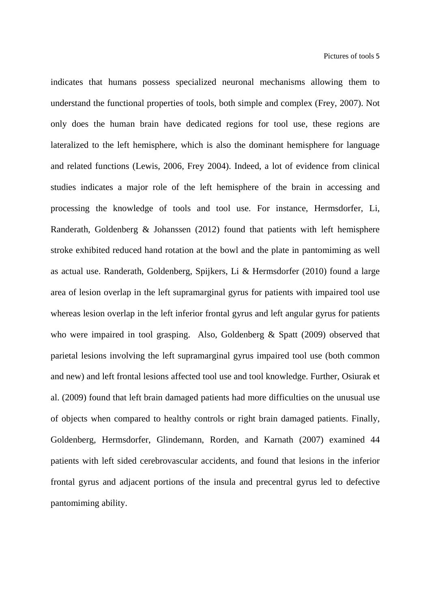indicates that humans possess specialized neuronal mechanisms allowing them to understand the functional properties of tools, both simple and complex (Frey, 2007). Not only does the human brain have dedicated regions for tool use, these regions are lateralized to the left hemisphere, which is also the dominant hemisphere for language and related functions (Lewis, 2006, Frey 2004). Indeed, a lot of evidence from clinical studies indicates a major role of the left hemisphere of the brain in accessing and processing the knowledge of tools and tool use. For instance, Hermsdorfer, Li, Randerath, Goldenberg & Johanssen (2012) found that patients with left hemisphere stroke exhibited reduced hand rotation at the bowl and the plate in pantomiming as well as actual use. Randerath, Goldenberg, Spijkers, Li & Hermsdorfer (2010) found a large area of lesion overlap in the left supramarginal gyrus for patients with impaired tool use whereas lesion overlap in the left inferior frontal gyrus and left angular gyrus for patients who were impaired in tool grasping. Also, Goldenberg & Spatt (2009) observed that parietal lesions involving the left supramarginal gyrus impaired tool use (both common and new) and left frontal lesions affected tool use and tool knowledge. Further, Osiurak et al. (2009) found that left brain damaged patients had more difficulties on the unusual use of objects when compared to healthy controls or right brain damaged patients. Finally, Goldenberg, Hermsdorfer, Glindemann, Rorden, and Karnath (2007) examined 44 patients with left sided cerebrovascular accidents, and found that lesions in the inferior frontal gyrus and adjacent portions of the insula and precentral gyrus led to defective pantomiming ability.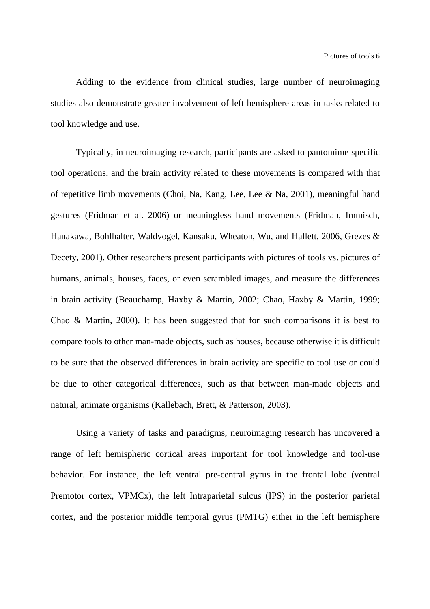Adding to the evidence from clinical studies, large number of neuroimaging studies also demonstrate greater involvement of left hemisphere areas in tasks related to tool knowledge and use.

Typically, in neuroimaging research, participants are asked to pantomime specific tool operations, and the brain activity related to these movements is compared with that of repetitive limb movements (Choi, Na, Kang, Lee, Lee & Na, 2001), meaningful hand gestures (Fridman et al. 2006) or meaningless hand movements (Fridman, Immisch, Hanakawa, Bohlhalter, Waldvogel, Kansaku, Wheaton, Wu, and Hallett, 2006, Grezes & Decety, 2001). Other researchers present participants with pictures of tools vs. pictures of humans, animals, houses, faces, or even scrambled images, and measure the differences in brain activity (Beauchamp, Haxby & Martin, 2002; Chao, Haxby & Martin, 1999; Chao & Martin, 2000). It has been suggested that for such comparisons it is best to compare tools to other man-made objects, such as houses, because otherwise it is difficult to be sure that the observed differences in brain activity are specific to tool use or could be due to other categorical differences, such as that between man-made objects and natural, animate organisms (Kallebach, Brett, & Patterson, 2003).

Using a variety of tasks and paradigms, neuroimaging research has uncovered a range of left hemispheric cortical areas important for tool knowledge and tool-use behavior. For instance, the left ventral pre-central gyrus in the frontal lobe (ventral Premotor cortex, VPMCx), the left Intraparietal sulcus (IPS) in the posterior parietal cortex, and the posterior middle temporal gyrus (PMTG) either in the left hemisphere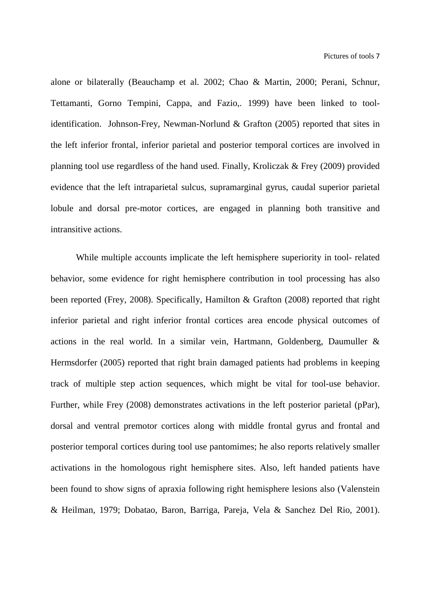alone or bilaterally (Beauchamp et al. 2002; Chao & Martin, 2000; Perani, Schnur, Tettamanti, Gorno Tempini, Cappa, and Fazio,. 1999) have been linked to toolidentification. Johnson-Frey, Newman-Norlund & Grafton (2005) reported that sites in the left inferior frontal, inferior parietal and posterior temporal cortices are involved in planning tool use regardless of the hand used. Finally, Kroliczak & Frey (2009) provided evidence that the left intraparietal sulcus, supramarginal gyrus, caudal superior parietal lobule and dorsal pre-motor cortices, are engaged in planning both transitive and intransitive actions.

While multiple accounts implicate the left hemisphere superiority in tool- related behavior, some evidence for right hemisphere contribution in tool processing has also been reported (Frey, 2008). Specifically, Hamilton & Grafton (2008) reported that right inferior parietal and right inferior frontal cortices area encode physical outcomes of actions in the real world. In a similar vein, Hartmann, Goldenberg, Daumuller & Hermsdorfer (2005) reported that right brain damaged patients had problems in keeping track of multiple step action sequences, which might be vital for tool-use behavior. Further, while Frey (2008) demonstrates activations in the left posterior parietal (pPar), dorsal and ventral premotor cortices along with middle frontal gyrus and frontal and posterior temporal cortices during tool use pantomimes; he also reports relatively smaller activations in the homologous right hemisphere sites. Also, left handed patients have been found to show signs of apraxia following right hemisphere lesions also (Valenstein & Heilman, 1979; Dobatao, Baron, Barriga, Pareja, Vela & Sanchez Del Rio, 2001).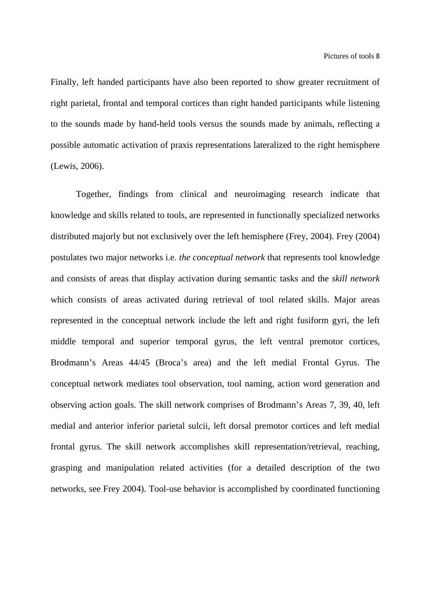Finally, left handed participants have also been reported to show greater recruitment of right parietal, frontal and temporal cortices than right handed participants while listening to the sounds made by hand-held tools versus the sounds made by animals, reflecting a possible automatic activation of praxis representations lateralized to the right hemisphere (Lewis, 2006).

Together, findings from clinical and neuroimaging research indicate that knowledge and skills related to tools, are represented in functionally specialized networks distributed majorly but not exclusively over the left hemisphere (Frey, 2004). Frey (2004) postulates two major networks i.e. *the conceptual network* that represents tool knowledge and consists of areas that display activation during semantic tasks and the *skill network* which consists of areas activated during retrieval of tool related skills. Major areas represented in the conceptual network include the left and right fusiform gyri, the left middle temporal and superior temporal gyrus, the left ventral premotor cortices, Brodmann's Areas 44/45 (Broca's area) and the left medial Frontal Gyrus. The conceptual network mediates tool observation, tool naming, action word generation and observing action goals. The skill network comprises of Brodmann's Areas 7, 39, 40, left medial and anterior inferior parietal sulcii, left dorsal premotor cortices and left medial frontal gyrus. The skill network accomplishes skill representation/retrieval, reaching, grasping and manipulation related activities (for a detailed description of the two networks, see Frey 2004). Tool-use behavior is accomplished by coordinated functioning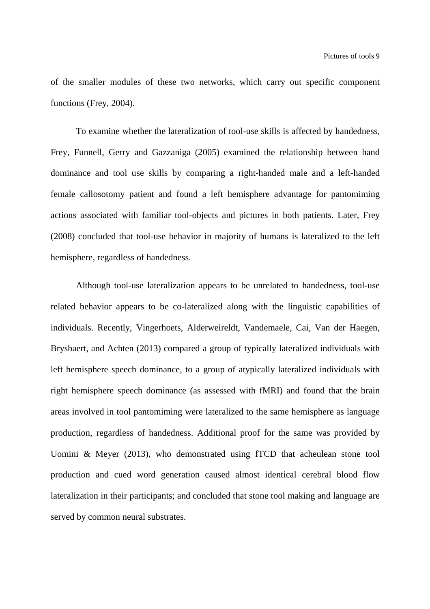of the smaller modules of these two networks, which carry out specific component functions (Frey, 2004).

To examine whether the lateralization of tool-use skills is affected by handedness, Frey, Funnell, Gerry and Gazzaniga (2005) examined the relationship between hand dominance and tool use skills by comparing a right-handed male and a left-handed female callosotomy patient and found a left hemisphere advantage for pantomiming actions associated with familiar tool-objects and pictures in both patients. Later, Frey (2008) concluded that tool-use behavior in majority of humans is lateralized to the left hemisphere, regardless of handedness.

Although tool-use lateralization appears to be unrelated to handedness, tool-use related behavior appears to be co-lateralized along with the linguistic capabilities of individuals. Recently, Vingerhoets, Alderweireldt, Vandemaele, Cai, Van der Haegen, Brysbaert, and Achten (2013) compared a group of typically lateralized individuals with left hemisphere speech dominance, to a group of atypically lateralized individuals with right hemisphere speech dominance (as assessed with fMRI) and found that the brain areas involved in tool pantomiming were lateralized to the same hemisphere as language production, regardless of handedness. Additional proof for the same was provided by Uomini & Meyer (2013), who demonstrated using fTCD that acheulean stone tool production and cued word generation caused almost identical cerebral blood flow lateralization in their participants; and concluded that stone tool making and language are served by common neural substrates.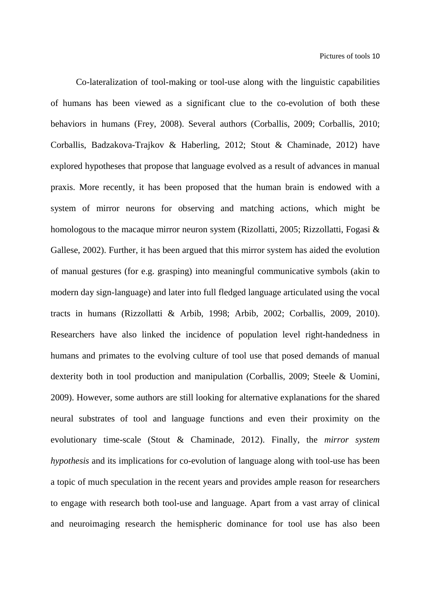Co-lateralization of tool-making or tool-use along with the linguistic capabilities of humans has been viewed as a significant clue to the co-evolution of both these behaviors in humans (Frey, 2008). Several authors (Corballis, 2009; Corballis, 2010; Corballis, Badzakova-Trajkov & Haberling, 2012; Stout & Chaminade, 2012) have explored hypotheses that propose that language evolved as a result of advances in manual praxis. More recently, it has been proposed that the human brain is endowed with a system of mirror neurons for observing and matching actions, which might be homologous to the macaque mirror neuron system (Rizollatti, 2005; Rizzollatti, Fogasi & Gallese, 2002). Further, it has been argued that this mirror system has aided the evolution of manual gestures (for e.g. grasping) into meaningful communicative symbols (akin to modern day sign-language) and later into full fledged language articulated using the vocal tracts in humans (Rizzollatti & Arbib, 1998; Arbib, 2002; Corballis, 2009, 2010). Researchers have also linked the incidence of population level right-handedness in humans and primates to the evolving culture of tool use that posed demands of manual dexterity both in tool production and manipulation (Corballis, 2009; Steele & Uomini, 2009). However, some authors are still looking for alternative explanations for the shared neural substrates of tool and language functions and even their proximity on the evolutionary time-scale (Stout & Chaminade, 2012). Finally, the *mirror system hypothesis* and its implications for co-evolution of language along with tool-use has been a topic of much speculation in the recent years and provides ample reason for researchers to engage with research both tool-use and language. Apart from a vast array of clinical and neuroimaging research the hemispheric dominance for tool use has also been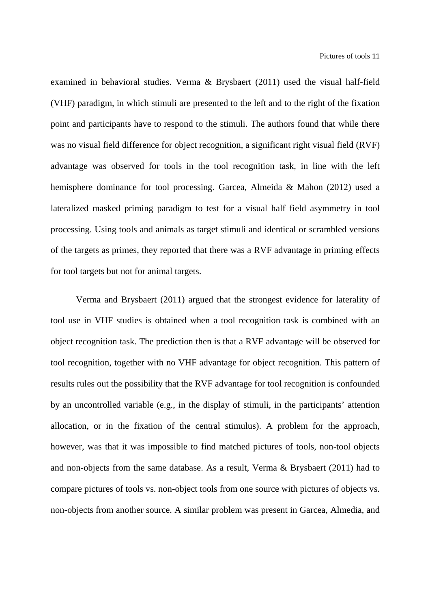examined in behavioral studies. Verma & Brysbaert (2011) used the visual half-field (VHF) paradigm, in which stimuli are presented to the left and to the right of the fixation point and participants have to respond to the stimuli. The authors found that while there was no visual field difference for object recognition, a significant right visual field (RVF) advantage was observed for tools in the tool recognition task, in line with the left hemisphere dominance for tool processing. Garcea, Almeida & Mahon (2012) used a lateralized masked priming paradigm to test for a visual half field asymmetry in tool processing. Using tools and animals as target stimuli and identical or scrambled versions of the targets as primes, they reported that there was a RVF advantage in priming effects for tool targets but not for animal targets.

Verma and Brysbaert (2011) argued that the strongest evidence for laterality of tool use in VHF studies is obtained when a tool recognition task is combined with an object recognition task. The prediction then is that a RVF advantage will be observed for tool recognition, together with no VHF advantage for object recognition. This pattern of results rules out the possibility that the RVF advantage for tool recognition is confounded by an uncontrolled variable (e.g., in the display of stimuli, in the participants' attention allocation, or in the fixation of the central stimulus). A problem for the approach, however, was that it was impossible to find matched pictures of tools, non-tool objects and non-objects from the same database. As a result, Verma & Brysbaert (2011) had to compare pictures of tools vs. non-object tools from one source with pictures of objects vs. non-objects from another source. A similar problem was present in Garcea, Almedia, and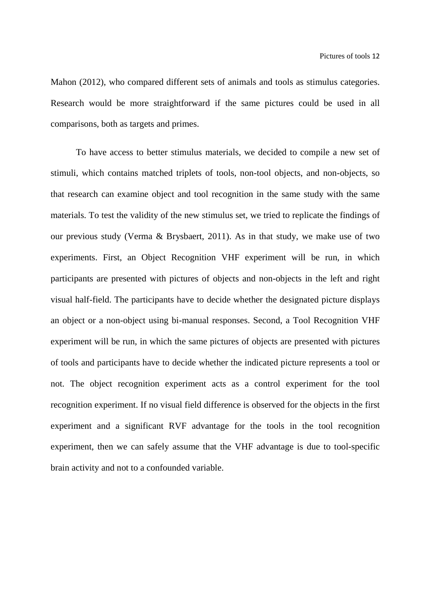Mahon (2012), who compared different sets of animals and tools as stimulus categories. Research would be more straightforward if the same pictures could be used in all comparisons, both as targets and primes.

To have access to better stimulus materials, we decided to compile a new set of stimuli, which contains matched triplets of tools, non-tool objects, and non-objects, so that research can examine object and tool recognition in the same study with the same materials. To test the validity of the new stimulus set, we tried to replicate the findings of our previous study (Verma & Brysbaert, 2011). As in that study, we make use of two experiments. First, an Object Recognition VHF experiment will be run, in which participants are presented with pictures of objects and non-objects in the left and right visual half-field. The participants have to decide whether the designated picture displays an object or a non-object using bi-manual responses. Second, a Tool Recognition VHF experiment will be run, in which the same pictures of objects are presented with pictures of tools and participants have to decide whether the indicated picture represents a tool or not. The object recognition experiment acts as a control experiment for the tool recognition experiment. If no visual field difference is observed for the objects in the first experiment and a significant RVF advantage for the tools in the tool recognition experiment, then we can safely assume that the VHF advantage is due to tool-specific brain activity and not to a confounded variable.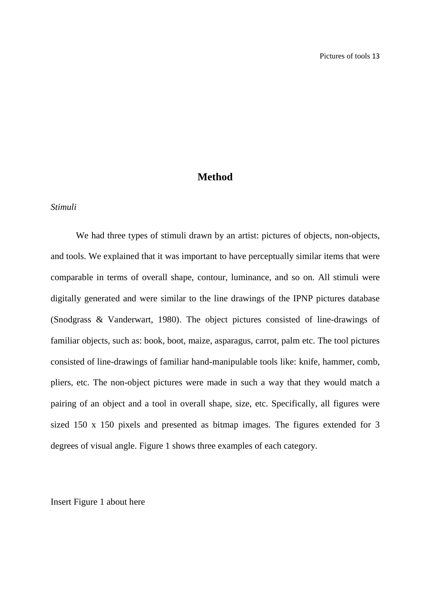#### **Method**

#### *Stimuli*

We had three types of stimuli drawn by an artist: pictures of objects, non-objects, and tools. We explained that it was important to have perceptually similar items that were comparable in terms of overall shape, contour, luminance, and so on. All stimuli were digitally generated and were similar to the line drawings of the IPNP pictures database (Snodgrass & Vanderwart, 1980). The object pictures consisted of line-drawings of familiar objects, such as: book, boot, maize, asparagus, carrot, palm etc. The tool pictures consisted of line-drawings of familiar hand-manipulable tools like: knife, hammer, comb, pliers, etc. The non-object pictures were made in such a way that they would match a pairing of an object and a tool in overall shape, size, etc. Specifically, all figures were sized 150 x 150 pixels and presented as bitmap images. The figures extended for 3 degrees of visual angle. Figure 1 shows three examples of each category.

Insert Figure 1 about here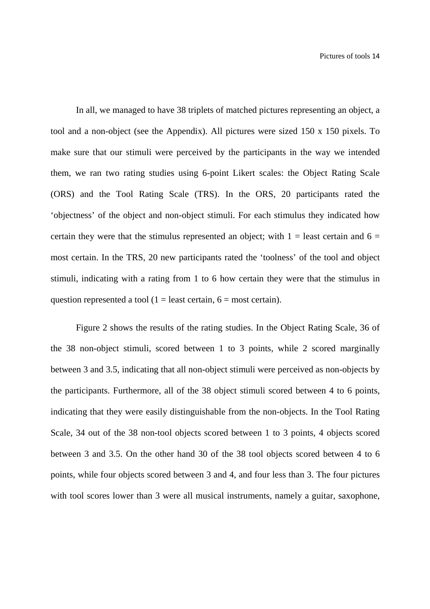In all, we managed to have 38 triplets of matched pictures representing an object, a tool and a non-object (see the Appendix). All pictures were sized 150 x 150 pixels. To make sure that our stimuli were perceived by the participants in the way we intended them, we ran two rating studies using 6-point Likert scales: the Object Rating Scale (ORS) and the Tool Rating Scale (TRS). In the ORS, 20 participants rated the 'objectness' of the object and non-object stimuli. For each stimulus they indicated how certain they were that the stimulus represented an object; with  $1 =$  least certain and  $6 =$ most certain. In the TRS, 20 new participants rated the 'toolness' of the tool and object stimuli, indicating with a rating from 1 to 6 how certain they were that the stimulus in question represented a tool (1 = least certain,  $6 =$  most certain).

Figure 2 shows the results of the rating studies. In the Object Rating Scale, 36 of the 38 non-object stimuli, scored between 1 to 3 points, while 2 scored marginally between 3 and 3.5, indicating that all non-object stimuli were perceived as non-objects by the participants. Furthermore, all of the 38 object stimuli scored between 4 to 6 points, indicating that they were easily distinguishable from the non-objects. In the Tool Rating Scale, 34 out of the 38 non-tool objects scored between 1 to 3 points, 4 objects scored between 3 and 3.5. On the other hand 30 of the 38 tool objects scored between 4 to 6 points, while four objects scored between 3 and 4, and four less than 3. The four pictures with tool scores lower than 3 were all musical instruments, namely a guitar, saxophone,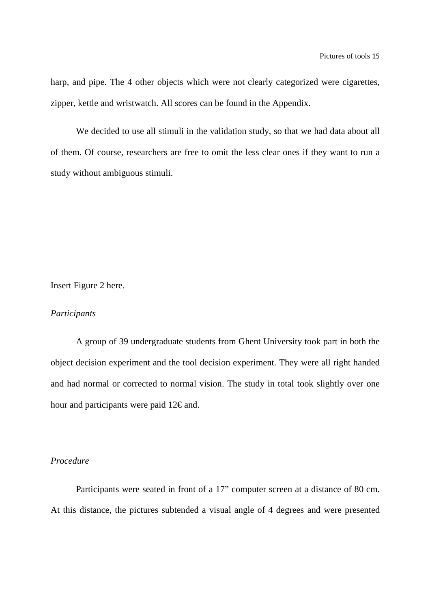harp, and pipe. The 4 other objects which were not clearly categorized were cigarettes, zipper, kettle and wristwatch. All scores can be found in the Appendix.

We decided to use all stimuli in the validation study, so that we had data about all of them. Of course, researchers are free to omit the less clear ones if they want to run a study without ambiguous stimuli.

Insert Figure 2 here.

#### *Participants*

A group of 39 undergraduate students from Ghent University took part in both the object decision experiment and the tool decision experiment. They were all right handed and had normal or corrected to normal vision. The study in total took slightly over one hour and participants were paid  $12 \epsilon$  and.

#### *Procedure*

Participants were seated in front of a 17" computer screen at a distance of 80 cm. At this distance, the pictures subtended a visual angle of 4 degrees and were presented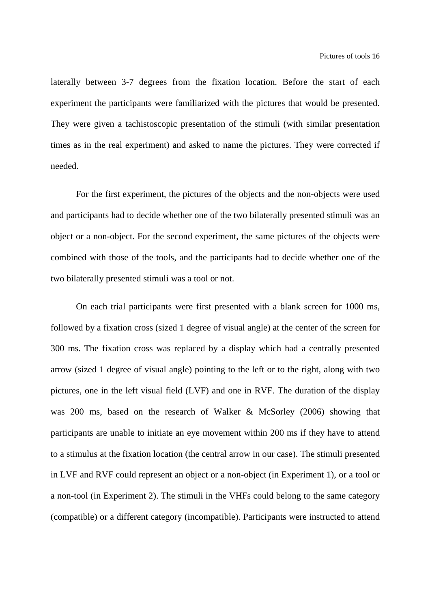laterally between 3-7 degrees from the fixation location. Before the start of each experiment the participants were familiarized with the pictures that would be presented. They were given a tachistoscopic presentation of the stimuli (with similar presentation times as in the real experiment) and asked to name the pictures. They were corrected if needed.

For the first experiment, the pictures of the objects and the non-objects were used and participants had to decide whether one of the two bilaterally presented stimuli was an object or a non-object. For the second experiment, the same pictures of the objects were combined with those of the tools, and the participants had to decide whether one of the two bilaterally presented stimuli was a tool or not.

On each trial participants were first presented with a blank screen for 1000 ms, followed by a fixation cross (sized 1 degree of visual angle) at the center of the screen for 300 ms. The fixation cross was replaced by a display which had a centrally presented arrow (sized 1 degree of visual angle) pointing to the left or to the right, along with two pictures, one in the left visual field (LVF) and one in RVF. The duration of the display was 200 ms, based on the research of Walker & McSorley (2006) showing that participants are unable to initiate an eye movement within 200 ms if they have to attend to a stimulus at the fixation location (the central arrow in our case). The stimuli presented in LVF and RVF could represent an object or a non-object (in Experiment 1), or a tool or a non-tool (in Experiment 2). The stimuli in the VHFs could belong to the same category (compatible) or a different category (incompatible). Participants were instructed to attend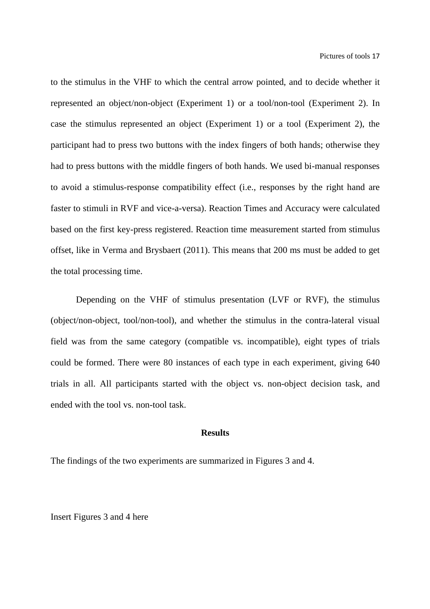to the stimulus in the VHF to which the central arrow pointed, and to decide whether it represented an object/non-object (Experiment 1) or a tool/non-tool (Experiment 2). In case the stimulus represented an object (Experiment 1) or a tool (Experiment 2), the participant had to press two buttons with the index fingers of both hands; otherwise they had to press buttons with the middle fingers of both hands. We used bi-manual responses to avoid a stimulus-response compatibility effect (i.e., responses by the right hand are faster to stimuli in RVF and vice-a-versa). Reaction Times and Accuracy were calculated based on the first key-press registered. Reaction time measurement started from stimulus offset, like in Verma and Brysbaert (2011). This means that 200 ms must be added to get the total processing time.

Depending on the VHF of stimulus presentation (LVF or RVF), the stimulus (object/non-object, tool/non-tool), and whether the stimulus in the contra-lateral visual field was from the same category (compatible vs. incompatible), eight types of trials could be formed. There were 80 instances of each type in each experiment, giving 640 trials in all. All participants started with the object vs. non-object decision task, and ended with the tool vs. non-tool task.

#### **Results**

The findings of the two experiments are summarized in Figures 3 and 4.

Insert Figures 3 and 4 here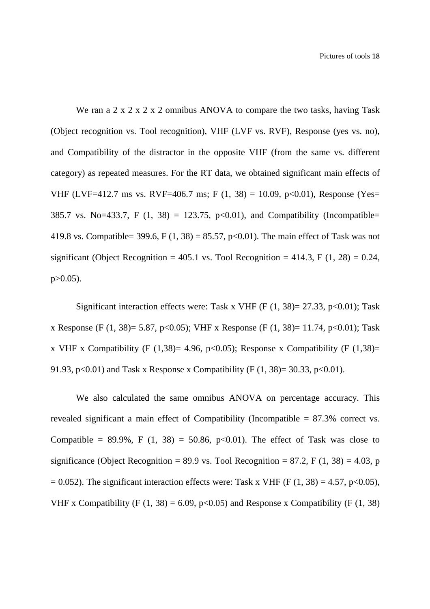We ran a  $2 \times 2 \times 2 \times 2$  omnibus ANOVA to compare the two tasks, having Task (Object recognition vs. Tool recognition), VHF (LVF vs. RVF), Response (yes vs. no), and Compatibility of the distractor in the opposite VHF (from the same vs. different category) as repeated measures. For the RT data, we obtained significant main effects of VHF (LVF=412.7 ms vs. RVF=406.7 ms; F (1, 38) = 10.09, p<0.01), Response (Yes= 385.7 vs. No=433.7, F (1, 38) = 123.75, p<0.01), and Compatibility (Incompatible= 419.8 vs. Compatible= 399.6, F (1, 38) = 85.57, p<0.01). The main effect of Task was not significant (Object Recognition = 405.1 vs. Tool Recognition = 414.3, F  $(1, 28) = 0.24$ ,  $p > 0.05$ ).

Significant interaction effects were: Task x VHF (F  $(1, 38) = 27.33$ , p<0.01); Task x Response (F (1, 38)= 5.87, p<0.05); VHF x Response (F (1, 38)= 11.74, p<0.01); Task x VHF x Compatibility (F  $(1,38) = 4.96$ , p<0.05); Response x Compatibility (F  $(1,38) =$ 91.93, p<0.01) and Task x Response x Compatibility (F  $(1, 38) = 30.33$ , p<0.01).

We also calculated the same omnibus ANOVA on percentage accuracy. This revealed significant a main effect of Compatibility (Incompatible = 87.3% correct vs. Compatible = 89.9%, F  $(1, 38)$  = 50.86, p<0.01). The effect of Task was close to significance (Object Recognition = 89.9 vs. Tool Recognition = 87.2, F  $(1, 38)$  = 4.03, p  $= 0.052$ ). The significant interaction effects were: Task x VHF (F (1, 38) = 4.57, p<0.05), VHF x Compatibility (F  $(1, 38) = 6.09$ , p<0.05) and Response x Compatibility (F  $(1, 38)$ )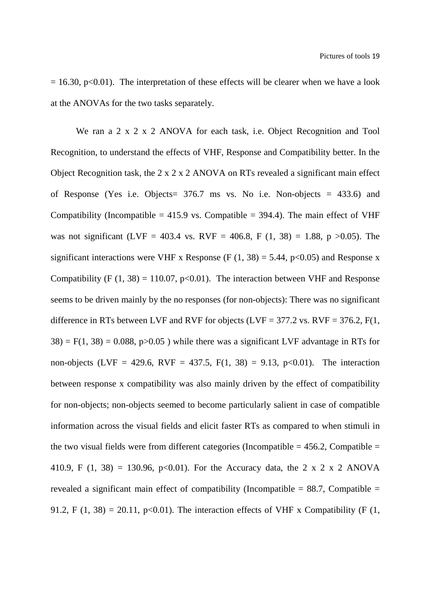$= 16.30$ , p<0.01). The interpretation of these effects will be clearer when we have a look at the ANOVAs for the two tasks separately.

We ran a 2 x 2 x 2 ANOVA for each task, i.e. Object Recognition and Tool Recognition, to understand the effects of VHF, Response and Compatibility better. In the Object Recognition task, the 2 x 2 x 2 ANOVA on RTs revealed a significant main effect of Response (Yes i.e. Objects =  $376.7$  ms vs. No i.e. Non-objects =  $433.6$ ) and Compatibility (Incompatible = 415.9 vs. Compatible = 394.4). The main effect of VHF was not significant (LVF = 403.4 vs. RVF = 406.8, F (1, 38) = 1.88, p > 0.05). The significant interactions were VHF x Response (F  $(1, 38) = 5.44$ , p<0.05) and Response x Compatibility (F  $(1, 38) = 110.07$ , p<0.01). The interaction between VHF and Response seems to be driven mainly by the no responses (for non-objects): There was no significant difference in RTs between LVF and RVF for objects (LVF =  $377.2$  vs. RVF =  $376.2$ , F(1,  $38$ ) = F(1, 38) = 0.088, p>0.05) while there was a significant LVF advantage in RTs for non-objects (LVF = 429.6, RVF = 437.5, F(1, 38) = 9.13, p<0.01). The interaction between response x compatibility was also mainly driven by the effect of compatibility for non-objects; non-objects seemed to become particularly salient in case of compatible information across the visual fields and elicit faster RTs as compared to when stimuli in the two visual fields were from different categories (Incompatible  $=$  456.2, Compatible  $=$ 410.9, F (1, 38) = 130.96, p<0.01). For the Accuracy data, the 2 x 2 x 2 ANOVA revealed a significant main effect of compatibility (Incompatible  $= 88.7$ , Compatible  $=$ 91.2, F (1, 38) = 20.11, p<0.01). The interaction effects of VHF x Compatibility (F (1,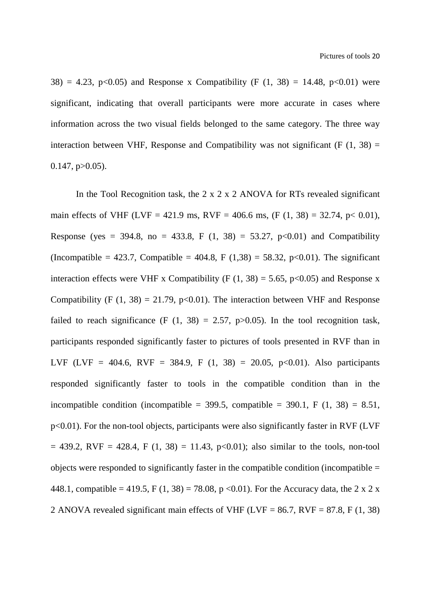38) = 4.23, p<0.05) and Response x Compatibility (F  $(1, 38) = 14.48$ , p<0.01) were significant, indicating that overall participants were more accurate in cases where information across the two visual fields belonged to the same category. The three way interaction between VHF, Response and Compatibility was not significant (F  $(1, 38)$  =  $0.147$ , p $>0.05$ ).

In the Tool Recognition task, the  $2 \times 2 \times 2$  ANOVA for RTs revealed significant main effects of VHF (LVF = 421.9 ms, RVF = 406.6 ms,  $(F (1, 38) = 32.74, p < 0.01)$ , Response (yes = 394.8, no = 433.8, F (1, 38) = 53.27, p<0.01) and Compatibility (Incompatible = 423.7, Compatible = 404.8, F (1,38) = 58.32, p<0.01). The significant interaction effects were VHF x Compatibility (F  $(1, 38) = 5.65$ , p<0.05) and Response x Compatibility (F  $(1, 38) = 21.79$ , p<0.01). The interaction between VHF and Response failed to reach significance (F  $(1, 38) = 2.57$ , p $>0.05$ ). In the tool recognition task, participants responded significantly faster to pictures of tools presented in RVF than in LVF (LVF = 404.6, RVF = 384.9, F (1, 38) = 20.05, p<0.01). Also participants responded significantly faster to tools in the compatible condition than in the incompatible condition (incompatible = 399.5, compatible = 390.1, F  $(1, 38) = 8.51$ , p<0.01). For the non-tool objects, participants were also significantly faster in RVF (LVF  $= 439.2$ , RVF = 428.4, F (1, 38) = 11.43, p<0.01); also similar to the tools, non-tool objects were responded to significantly faster in the compatible condition (incompatible  $=$ 448.1, compatible = 419.5, F (1, 38) = 78.08, p < 0.01). For the Accuracy data, the 2 x 2 x 2 ANOVA revealed significant main effects of VHF (LVF = 86.7, RVF = 87.8, F (1, 38)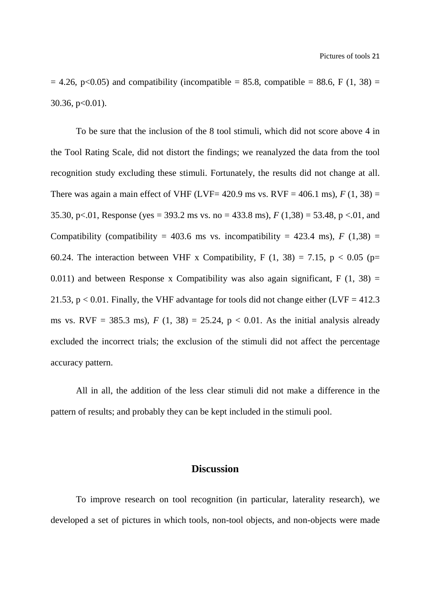$= 4.26$ , p<0.05) and compatibility (incompatible = 85.8, compatible = 88.6, F (1, 38) =  $30.36$ ,  $p<0.01$ ).

To be sure that the inclusion of the 8 tool stimuli, which did not score above 4 in the Tool Rating Scale, did not distort the findings; we reanalyzed the data from the tool recognition study excluding these stimuli. Fortunately, the results did not change at all. There was again a main effect of VHF (LVF=  $420.9$  ms vs. RVF =  $406.1$  ms),  $F(1, 38)$  = 35.30, p<.01, Response (yes = 393.2 ms vs. no = 433.8 ms), *F* (1,38) = 53.48, p <.01, and Compatibility (compatibility = 403.6 ms vs. incompatibility = 423.4 ms),  $F(1,38)$  = 60.24. The interaction between VHF x Compatibility, F  $(1, 38) = 7.15$ , p  $< 0.05$  (p= 0.011) and between Response x Compatibility was also again significant,  $F(1, 38) =$ 21.53,  $p < 0.01$ . Finally, the VHF advantage for tools did not change either (LVF = 412.3) ms vs.  $RVF = 385.3$  ms),  $F(1, 38) = 25.24$ ,  $p < 0.01$ . As the initial analysis already excluded the incorrect trials; the exclusion of the stimuli did not affect the percentage accuracy pattern.

All in all, the addition of the less clear stimuli did not make a difference in the pattern of results; and probably they can be kept included in the stimuli pool.

### **Discussion**

To improve research on tool recognition (in particular, laterality research), we developed a set of pictures in which tools, non-tool objects, and non-objects were made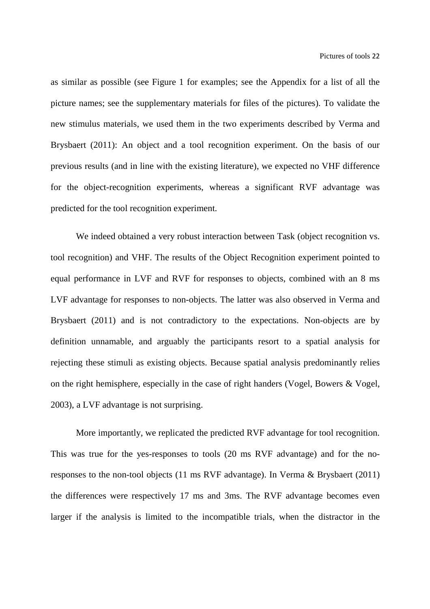as similar as possible (see Figure 1 for examples; see the Appendix for a list of all the picture names; see the supplementary materials for files of the pictures). To validate the new stimulus materials, we used them in the two experiments described by Verma and Brysbaert (2011): An object and a tool recognition experiment. On the basis of our previous results (and in line with the existing literature), we expected no VHF difference for the object-recognition experiments, whereas a significant RVF advantage was predicted for the tool recognition experiment.

We indeed obtained a very robust interaction between Task (object recognition vs. tool recognition) and VHF. The results of the Object Recognition experiment pointed to equal performance in LVF and RVF for responses to objects, combined with an 8 ms LVF advantage for responses to non-objects. The latter was also observed in Verma and Brysbaert (2011) and is not contradictory to the expectations. Non-objects are by definition unnamable, and arguably the participants resort to a spatial analysis for rejecting these stimuli as existing objects. Because spatial analysis predominantly relies on the right hemisphere, especially in the case of right handers (Vogel, Bowers & Vogel, 2003), a LVF advantage is not surprising.

More importantly, we replicated the predicted RVF advantage for tool recognition. This was true for the yes-responses to tools (20 ms RVF advantage) and for the noresponses to the non-tool objects (11 ms RVF advantage). In Verma & Brysbaert (2011) the differences were respectively 17 ms and 3ms. The RVF advantage becomes even larger if the analysis is limited to the incompatible trials, when the distractor in the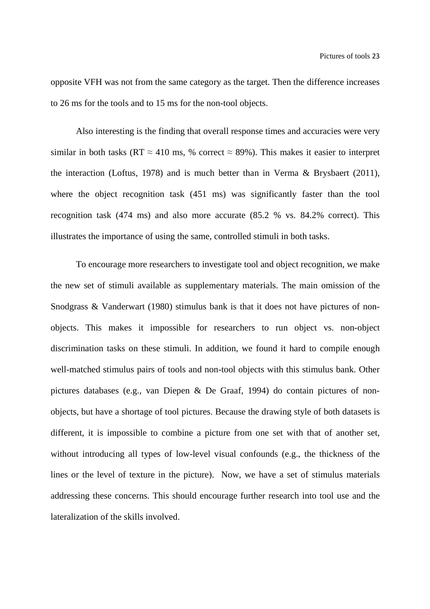opposite VFH was not from the same category as the target. Then the difference increases to 26 ms for the tools and to 15 ms for the non-tool objects.

Also interesting is the finding that overall response times and accuracies were very similar in both tasks (RT  $\approx$  410 ms, % correct  $\approx$  89%). This makes it easier to interpret the interaction (Loftus, 1978) and is much better than in Verma & Brysbaert (2011), where the object recognition task (451 ms) was significantly faster than the tool recognition task (474 ms) and also more accurate (85.2 % vs. 84.2% correct). This illustrates the importance of using the same, controlled stimuli in both tasks.

To encourage more researchers to investigate tool and object recognition, we make the new set of stimuli available as supplementary materials. The main omission of the Snodgrass & Vanderwart (1980) stimulus bank is that it does not have pictures of nonobjects. This makes it impossible for researchers to run object vs. non-object discrimination tasks on these stimuli. In addition, we found it hard to compile enough well-matched stimulus pairs of tools and non-tool objects with this stimulus bank. Other pictures databases (e.g., van Diepen & De Graaf, 1994) do contain pictures of nonobjects, but have a shortage of tool pictures. Because the drawing style of both datasets is different, it is impossible to combine a picture from one set with that of another set, without introducing all types of low-level visual confounds (e.g., the thickness of the lines or the level of texture in the picture). Now, we have a set of stimulus materials addressing these concerns. This should encourage further research into tool use and the lateralization of the skills involved.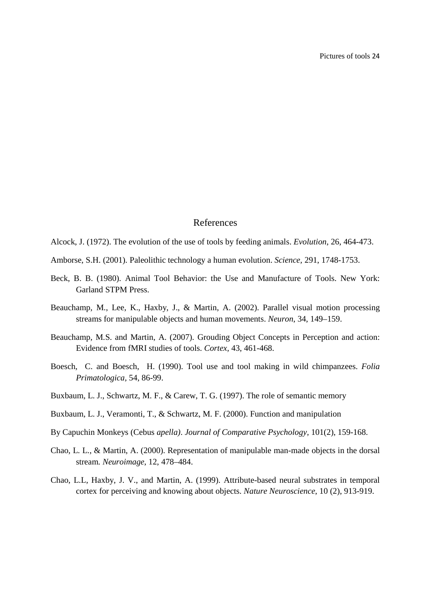#### References

- Alcock, J. (1972). The evolution of the use of tools by feeding animals. *Evolution*, 26, 464-473.
- Amborse, S.H. (2001). Paleolithic technology a human evolution. *Science,* 291, 1748-1753.
- Beck, B. B. (1980). Animal Tool Behavior: the Use and Manufacture of Tools. New York: Garland STPM Press.
- Beauchamp, M., Lee, K., Haxby, J., & Martin, A. (2002). Parallel visual motion processing streams for manipulable objects and human movements. *Neuron*, 34, 149–159.
- Beauchamp, M.S. and Martin, A. (2007). Grouding Object Concepts in Perception and action: Evidence from fMRI studies of tools. *Cortex,* 43, 461-468.
- Boesch, C. and Boesch, H. (1990). Tool use and tool making in wild chimpanzees. *Folia Primatologica,* 54, 86-99.
- Buxbaum, L. J., Schwartz, M. F., & Carew, T. G. (1997). The role of semantic memory
- Buxbaum, L. J., Veramonti, T., & Schwartz, M. F. (2000). Function and manipulation
- By Capuchin Monkeys (Cebus *apella)*. *Journal of Comparative Psychology,* 101(2), 159-168.
- Chao, L. L., & Martin, A. (2000). Representation of manipulable man-made objects in the dorsal stream*. Neuroimage*, 12, 478–484.
- Chao, L.L, Haxby, J. V., and Martin, A. (1999). Attribute-based neural substrates in temporal cortex for perceiving and knowing about objects. *Nature Neuroscience*, 10 (2), 913-919.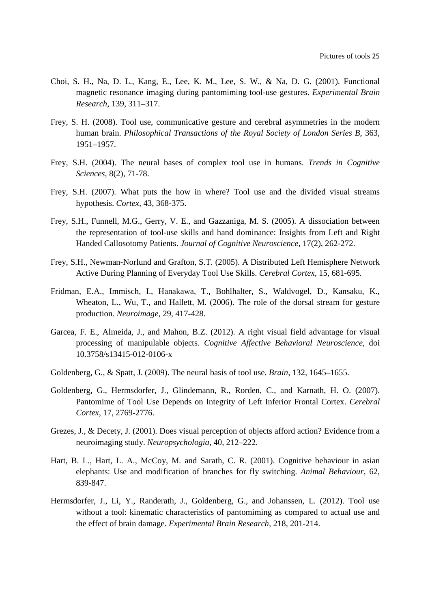- Choi, S. H., Na, D. L., Kang, E., Lee, K. M., Lee, S. W., & Na, D. G. (2001). Functional magnetic resonance imaging during pantomiming tool-use gestures. *Experimental Brain Research*, 139, 311–317.
- Frey, S. H. (2008). Tool use, communicative gesture and cerebral asymmetries in the modern human brain. *Philosophical Transactions of the Royal Society of London Series B*, 363, 1951–1957.
- Frey, S.H. (2004). The neural bases of complex tool use in humans. *Trends in Cognitive Sciences,* 8(2), 71-78.
- Frey, S.H. (2007). What puts the how in where? Tool use and the divided visual streams hypothesis. *Cortex,* 43, 368-375.
- Frey, S.H., Funnell, M.G., Gerry, V. E., and Gazzaniga, M. S. (2005). A dissociation between the representation of tool-use skills and hand dominance: Insights from Left and Right Handed Callosotomy Patients. *Journal of Cognitive Neuroscience,* 17(2), 262-272.
- Frey, S.H., Newman-Norlund and Grafton, S.T. (2005). A Distributed Left Hemisphere Network Active During Planning of Everyday Tool Use Skills. *Cerebral Cortex,* 15, 681-695.
- Fridman, E.A., Immisch, I., Hanakawa, T., Bohlhalter, S., Waldvogel, D., Kansaku, K., Wheaton, L., Wu, T., and Hallett, M. (2006). The role of the dorsal stream for gesture production. *Neuroimage,* 29, 417-428.
- Garcea, F. E., Almeida, J., and Mahon, B.Z. (2012). A right visual field advantage for visual processing of manipulable objects. *Cognitive Affective Behavioral Neuroscience*, doi 10.3758/s13415-012-0106-x
- Goldenberg, G., & Spatt, J. (2009). The neural basis of tool use. *Brain*, 132, 1645–1655.
- Goldenberg, G., Hermsdorfer, J., Glindemann, R., Rorden, C., and Karnath, H. O. (2007). Pantomime of Tool Use Depends on Integrity of Left Inferior Frontal Cortex. *Cerebral Cortex,* 17, 2769-2776.
- Grezes, J., & Decety, J. (2001). Does visual perception of objects afford action? Evidence from a neuroimaging study. *Neuropsychologia*, 40, 212–222.
- Hart, B. L., Hart, L. A., McCoy, M. and Sarath, C. R. (2001). Cognitive behaviour in asian elephants: Use and modification of branches for fly switching. *Animal Behaviour,* 62, 839-847.
- Hermsdorfer, J., Li, Y., Randerath, J., Goldenberg, G., and Johanssen, L. (2012). Tool use without a tool: kinematic characteristics of pantomiming as compared to actual use and the effect of brain damage. *Experimental Brain Research,* 218, 201-214.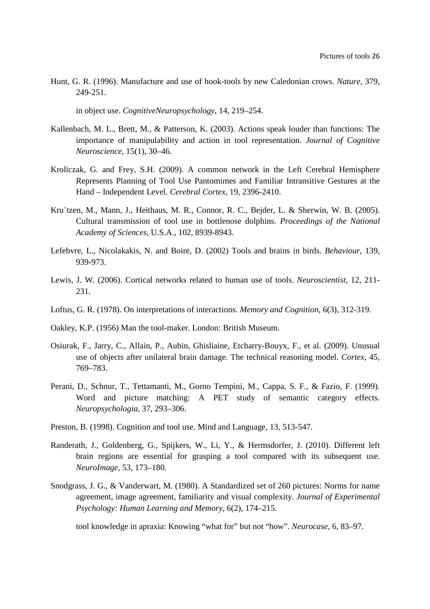Hunt, G. R. (1996). Manufacture and use of hook-tools by new Caledonian crows. *Nature,* 379, 249-251.

in object use. *CognitiveNeuropsychology*, 14, 219–254.

- Kallenbach, M. L., Brett, M., & Patterson, K. (2003). Actions speak louder than functions: The importance of manipulability and action in tool representation. *Journal of Cognitive Neuroscience*, 15(1), 30–46.
- Kroliczak, G. and Frey, S.H. (2009). A common network in the Left Cerebral Hemisphere Represents Planning of Tool Use Pantomimes and Familiar Intransitive Gestures at the Hand – Independent Level. *Cerebral Cortex,* 19, 2396-2410.
- Kru¨tzen, M., Mann, J., Heithaus, M. R., Connor, R. C., Bejder, L. & Sherwin, W. B. (2005). Cultural transmission of tool use in bottlenose dolphins. *Proceedings of the National Academy of Sciences*, U.S.A., 102, 8939-8943.
- Lefebvre, L., Nicolakakis, N. and Boire, D. (2002) Tools and brains in birds. *Behaviour,* 139, 939-973.
- Lewis, J. W. (2006). Cortical networks related to human use of tools. *Neuroscientist,* 12, 211- 231.
- Loftus, G. R. (1978). On interpretations of interactions. *Memory and Cognition*, 6(3), 312-319.
- Oakley, K.P. (1956) Man the tool-maker. London: British Museum.
- Osiurak, F., Jarry, C., Allain, P., Aubin, Ghisliaine, Etcharry-Bouyx, F., et al. (2009). Unusual use of objects after unilateral brain damage. The technical reasoning model. *Cortex*, 45, 769–783.
- Perani, D., Schnur, T., Tettamanti, M., Gorno Tempini, M., Cappa, S. F., & Fazio, F. (1999). Word and picture matching: A PET study of semantic category effects. *Neuropsychologia*, 37, 293–306.
- Preston, B. (1998). Cognition and tool use. Mind and Language, 13, 513-547.
- Randerath, J., Goldenberg, G., Spijkers, W., Li, Y., & Hermsdorfer, J. (2010). Different left brain regions are essential for grasping a tool compared with its subsequent use. *NeuroImage*, 53, 173–180.
- Snodgrass, J. G., & Vanderwart, M. (1980). A Standardized set of 260 pictures: Norms for name agreement, image agreement, familiarity and visual complexity. *Journal of Experimental Psychology: Human Learning and Memory*, 6(2), 174–215.

tool knowledge in apraxia: Knowing "what for" but not "how". *Neurocase*, 6, 83–97.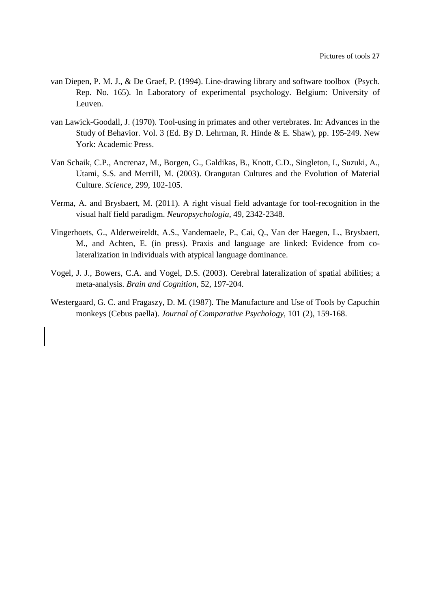- van Diepen, P. M. J., & De Graef, P. (1994). Line-drawing library and software toolbox (Psych. Rep. No. 165). In Laboratory of experimental psychology. Belgium: University of Leuven.
- van Lawick-Goodall, J. (1970). Tool-using in primates and other vertebrates. In: Advances in the Study of Behavior. Vol. 3 (Ed. By D. Lehrman, R. Hinde & E. Shaw), pp. 195-249. New York: Academic Press.
- Van Schaik, C.P., Ancrenaz, M., Borgen, G., Galdikas, B., Knott, C.D., Singleton, I., Suzuki, A., Utami, S.S. and Merrill, M. (2003). Orangutan Cultures and the Evolution of Material Culture. *Science,* 299, 102-105.
- Verma, A. and Brysbaert, M. (2011). A right visual field advantage for tool-recognition in the visual half field paradigm. *Neuropsychologia*, 49, 2342-2348.
- Vingerhoets, G., Alderweireldt, A.S., Vandemaele, P., Cai, Q., Van der Haegen, L., Brysbaert, M., and Achten, E. (in press). Praxis and language are linked: Evidence from colateralization in individuals with atypical language dominance.
- Vogel, J. J., Bowers, C.A. and Vogel, D.S. (2003). Cerebral lateralization of spatial abilities; a meta-analysis. *Brain and Cognition,* 52, 197-204.
- Westergaard, G. C. and Fragaszy, D. M. (1987). The Manufacture and Use of Tools by Capuchin monkeys (Cebus paella). *Journal of Comparative Psychology,* 101 (2), 159-168.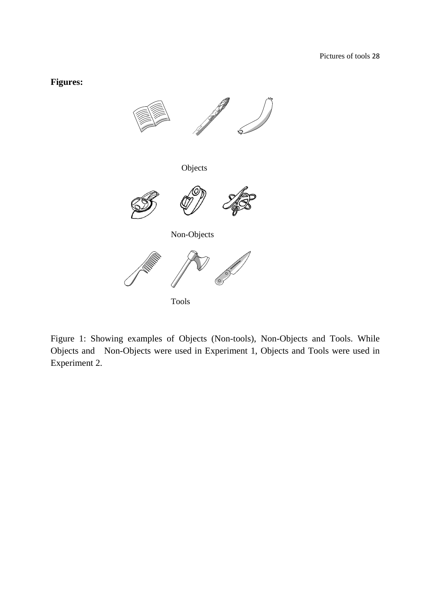**Figures:** 



Figure 1: Showing examples of Objects (Non-tools), Non-Objects and Tools. While Objects and Non-Objects were used in Experiment 1, Objects and Tools were used in Experiment 2.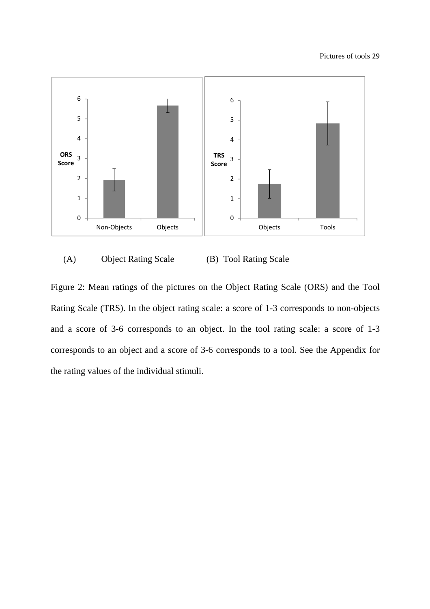

(A) Object Rating Scale (B) Tool Rating Scale

Figure 2: Mean ratings of the pictures on the Object Rating Scale (ORS) and the Tool Rating Scale (TRS). In the object rating scale: a score of 1-3 corresponds to non-objects and a score of 3-6 corresponds to an object. In the tool rating scale: a score of 1-3 corresponds to an object and a score of 3-6 corresponds to a tool. See the Appendix for the rating values of the individual stimuli.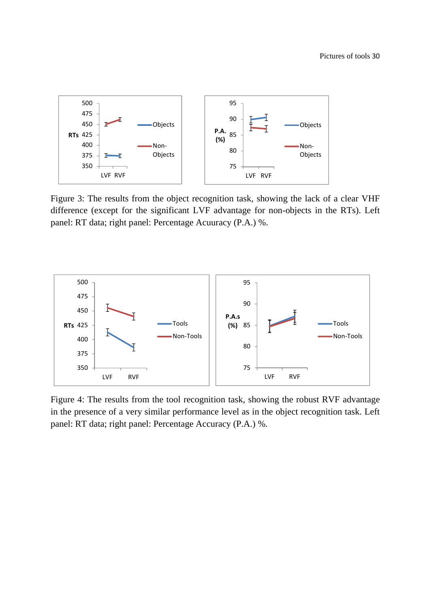Pictures of tools 30



Figure 3: The results from the object recognition task, showing the lack of a clear VHF difference (except for the significant LVF advantage for non-objects in the RTs). Left panel: RT data; right panel: Percentage Acuuracy (P.A.) %.



Figure 4: The results from the tool recognition task, showing the robust RVF advantage in the presence of a very similar performance level as in the object recognition task. Left panel: RT data; right panel: Percentage Accuracy (P.A.) %.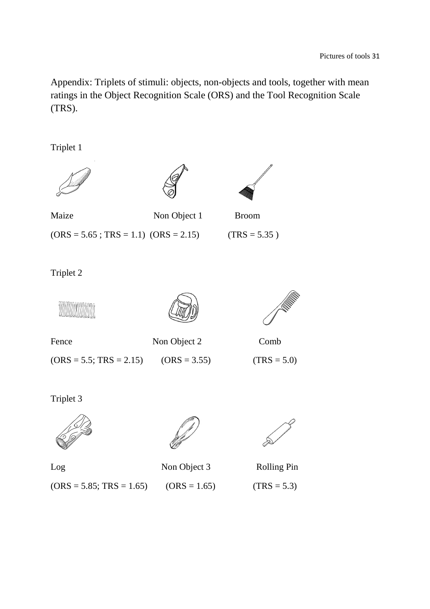Appendix: Triplets of stimuli: objects, non-objects and tools, together with mean ratings in the Object Recognition Scale (ORS) and the Tool Recognition Scale (TRS).

Triplet 1





Maize Non Object 1 Broom

 $(ORS = 5.65$ ; TRS = 1.1)  $(ORS = 2.15)$  (TRS = 5.35)

Triplet 2





Fence Non Object 2 Comb

 $(ORS = 5.5; TRS = 2.15)$   $(ORS = 3.55)$   $(TRS = 5.0)$ 



Triplet 3



Log Non Object 3 Rolling Pin

 $(ORS = 5.85; TRS = 1.65)$   $(ORS = 1.65)$   $(TRS = 5.3)$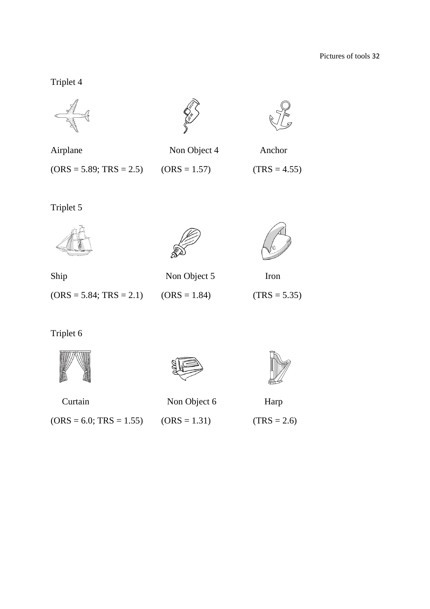





Airplane Non Object 4 Anchor

 $(ORS = 5.89; TRS = 2.5)$   $(ORS = 1.57)$   $(TRS = 4.55)$ 

Triplet 5







Ship Non Object 5 Iron

 $(ORS = 5.84; TRS = 2.1)$   $(ORS = 1.84)$   $(TRS = 5.35)$ 

Triplet 6







Curtain Non Object 6 Harp



 $(ORS = 6.0; TRS = 1.55)$   $(ORS = 1.31)$   $(TRS = 2.6)$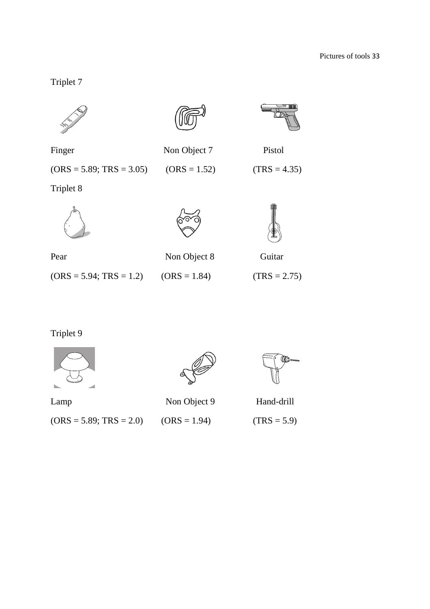





Finger Non Object 7 Pistol

 $(ORS = 5.89; TRS = 3.05)$   $(ORS = 1.52)$   $(TRS = 4.35)$ 

Triplet 8







Pear Non Object 8 Guitar

 $(ORS = 5.94; TRS = 1.2)$   $(ORS = 1.84)$   $(TRS = 2.75)$ 

# Triplet 9







Lamp Non Object 9 Hand-drill

| $(ORS = 5.89; TRS = 2.0)$ | $(ORS = 1.94)$ | $(TRS = 5.9)$ |
|---------------------------|----------------|---------------|
|---------------------------|----------------|---------------|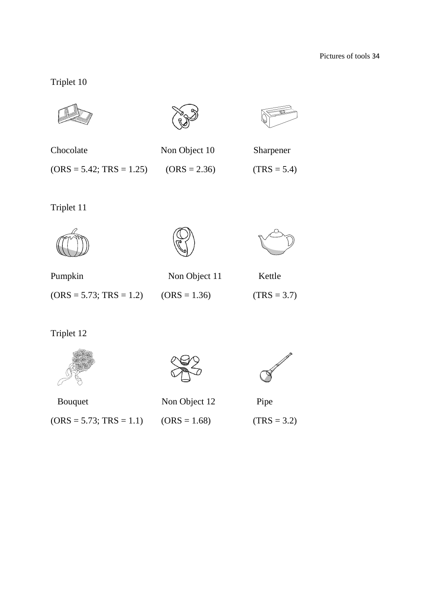





Chocolate Non Object 10 Sharpener

 $(ORS = 5.42; TRS = 1.25)$   $(ORS = 2.36)$   $(TRS = 5.4)$ 

- 
- 

Triplet 11







Pumpkin Non Object 11 Kettle  $(ORS = 5.73; TRS = 1.2)$   $(ORS = 1.36)$   $(TRS = 3.7)$ 

# Triplet 12







Non Object 12 Pipe

|   | ູ |  |  |
|---|---|--|--|
|   |   |  |  |
|   |   |  |  |
|   |   |  |  |
| . |   |  |  |

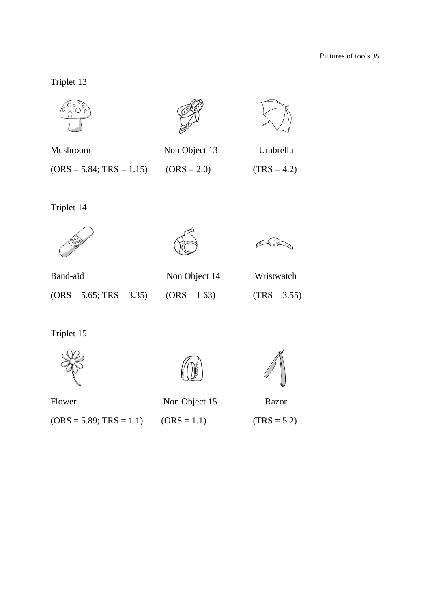





Mushroom Non Object 13 Umbrella

 $(ORS = 5.84; TRS = 1.15)$   $(ORS = 2.0)$   $(TRS = 4.2)$ 

Triplet 14







Band-aid Non Object 14 Wristwatch  $(ORS = 5.65; TRS = 3.35)$   $(ORS = 1.63)$   $(TRS = 3.55)$ 

Triplet 15







Flower Non Object 15 Razor

 $(ORS = 5.89; TRS = 1.1)$   $(ORS = 1.1)$   $(TRS = 5.2)$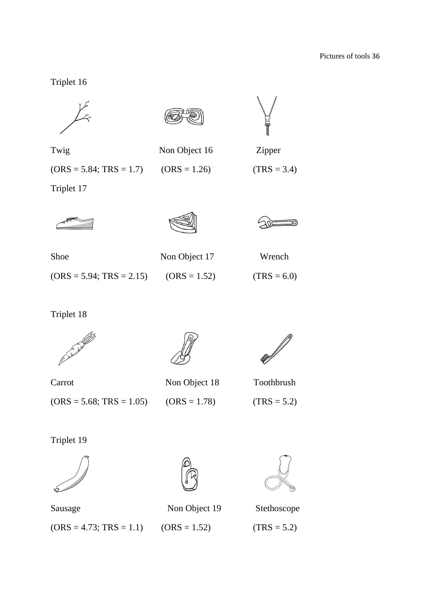



Twig Non Object 16 Zipper

 $(ORS = 5.84; TRS = 1.7)$   $(ORS = 1.26)$   $(TRS = 3.4)$ 

Triplet 17







| Shoe                       | Non Object 17  | Wrench        |
|----------------------------|----------------|---------------|
| $(ORS = 5.94; TRS = 2.15)$ | $(ORS = 1.52)$ | $(TRS = 6.0)$ |

Triplet 18







Carrot Non Object 18 Toothbrush

 $(ORS = 5.68; TRS = 1.05)$   $(ORS = 1.78)$   $(TRS = 5.2)$ 

Triplet 19







 $(ORS = 4.73; TRS = 1.1)$   $(ORS = 1.52)$   $(TRS = 5.2)$ 

Sausage Non Object 19 Stethoscope

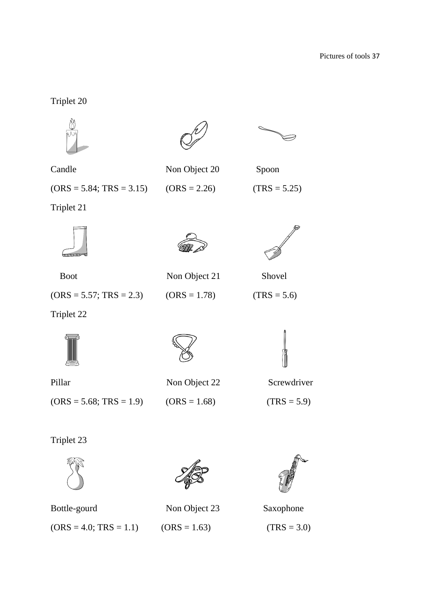| Candle                     | Non Object 20  | Spoon          |
|----------------------------|----------------|----------------|
| $(ORS = 5.84; TRS = 3.15)$ | $(ORS = 2.26)$ | $(TRS = 5.25)$ |
| Triplet 21                 |                |                |
|                            |                |                |
| <b>Boot</b>                | Non Object 21  | Shovel         |
| $(ORS = 5.57; TRS = 2.3)$  | $(ORS = 1.78)$ | $(TRS = 5.6)$  |
| Triplet 22                 |                |                |
|                            |                |                |
| Pillar                     | Non Object 22  | Screwdriver    |
| $(ORS = 5.68; TRS = 1.9)$  | $(ORS = 1.68)$ | $(TRS = 5.9)$  |
|                            |                |                |
| Triplet 23                 |                |                |
|                            |                |                |







 $(ORS = 4.0; TRS = 1.1)$   $(ORS = 1.63)$   $(TRS = 3.0)$ 

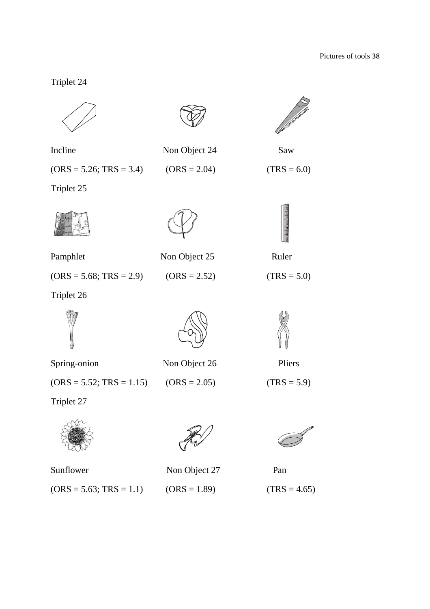





| и<br>u |
|--------|
|--------|

|  | $(ORS = 5.26; TRS = 3.4)$ | $(ORS = 2.04)$ | $(TRS = 6.0)$ |
|--|---------------------------|----------------|---------------|
|--|---------------------------|----------------|---------------|

Incline Non Object 24

Triplet 25



Pamphlet Non Object 25 Ruler

 $(ORS = 5.68; TRS = 2.9)$   $(ORS = 2.52)$   $(TRS = 5.0)$ 

Triplet 26





Spring-onion Non Object 26 Pliers

 $(ORS = 5.52; TRS = 1.15)$   $(ORS = 2.05)$   $(TRS = 5.9)$ 

Triplet 27







Sunflower Non Object 27 Pan  $(ORS = 5.63; TRS = 1.1)$   $(ORS = 1.89)$   $(TRS = 4.65)$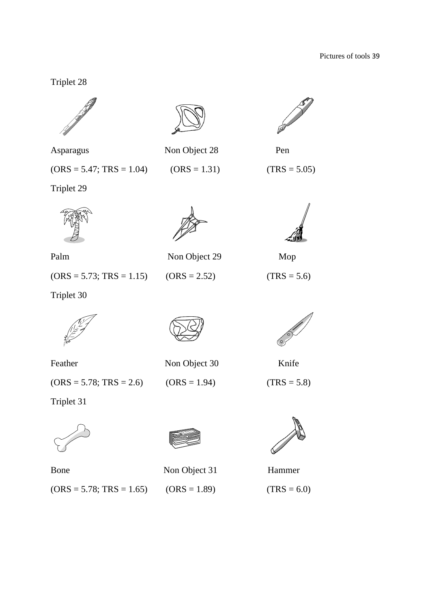





Asparagus Non Object 28 Pen

 $(ORS = 5.47; TRS = 1.04)$   $(ORS = 1.31)$   $(TRS = 5.05)$ 

Triplet 29



Palm Non Object 29 Mop

 $(ORS = 5.73; TRS = 1.15)$   $(ORS = 2.52)$   $(TRS = 5.6)$ 

Triplet 30





Feather Non Object 30 Knife

 $(ORS = 5.78; TRS = 2.6)$   $(ORS = 1.94)$   $(TRS = 5.8)$ 

Triplet 31







Bone Non Object 31 Hammer

 $(ORS = 5.78; TRS = 1.65)$   $(ORS = 1.89)$   $(TRS = 6.0)$ 

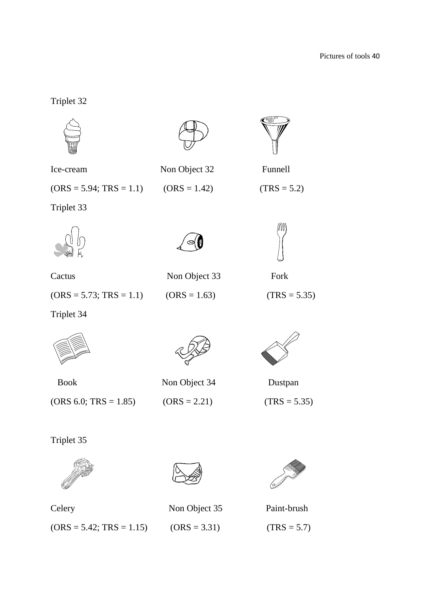| Ice-cream                                | Non Object 32  | Funnell        |
|------------------------------------------|----------------|----------------|
| $(ORS = 5.94; TRS = 1.1)$ $(ORS = 1.42)$ |                | $(TRS = 5.2)$  |
| Triplet 33                               |                |                |
|                                          |                |                |
| Cactus                                   | Non Object 33  | Fork           |
| $(ORS = 5.73; TRS = 1.1)$                | $(ORS = 1.63)$ | $(TRS = 5.35)$ |
| Triplet 34                               |                |                |
|                                          |                |                |
| <b>Book</b>                              | Non Object 34  | Dustpan        |
| $(ORS 6.0; TRS = 1.85)$                  | $(ORS = 2.21)$ | $(TRS = 5.35)$ |
| Triplet 35                               |                |                |
|                                          |                |                |
|                                          |                |                |

 $(ORS = 5.42; TRS = 1.15)$   $(ORS = 3.31)$   $(TRS = 5.7)$ 

Celery Non Object 35 Paint-brush